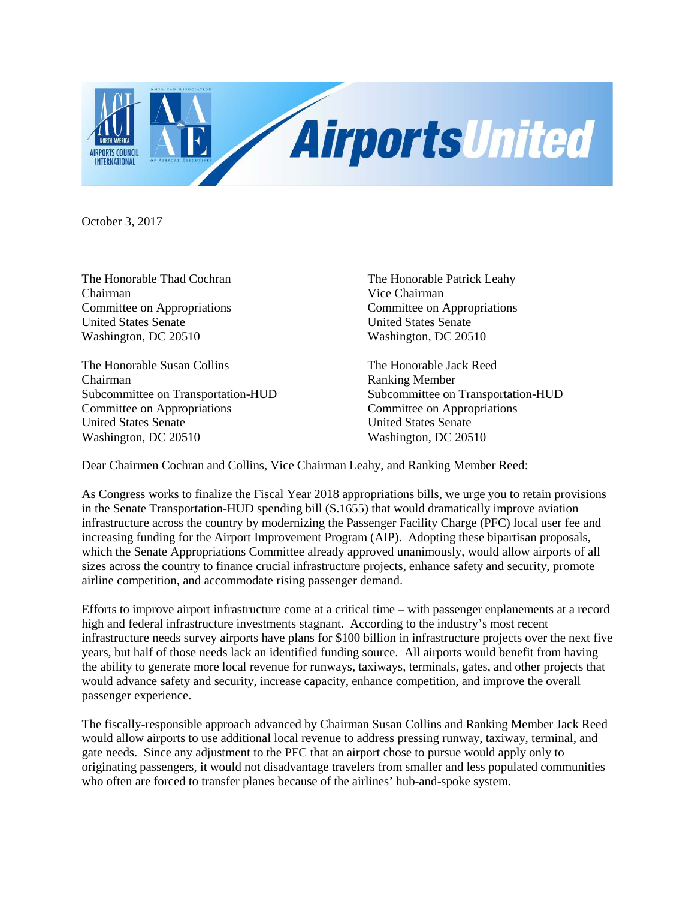

October 3, 2017

Chairman Vice Chairman Committee on Appropriations Committee on Appropriations United States Senate United States Senate Washington, DC 20510 Washington, DC 20510

The Honorable Susan Collins The Honorable Jack Reed Chairman<br>
Subcommittee on Transportation-HUD<br>
Subcommittee on Transportation-HUD<br>
Subcommittee on Transportation-HUD Subcommittee on Transportation-HUD Committee on Appropriations Committee on Appropriations United States Senate United States Senate Washington, DC 20510 Washington, DC 20510

The Honorable Thad Cochran The Honorable Patrick Leahy

Dear Chairmen Cochran and Collins, Vice Chairman Leahy, and Ranking Member Reed:

As Congress works to finalize the Fiscal Year 2018 appropriations bills, we urge you to retain provisions in the Senate Transportation-HUD spending bill (S.1655) that would dramatically improve aviation infrastructure across the country by modernizing the Passenger Facility Charge (PFC) local user fee and increasing funding for the Airport Improvement Program (AIP). Adopting these bipartisan proposals, which the Senate Appropriations Committee already approved unanimously, would allow airports of all sizes across the country to finance crucial infrastructure projects, enhance safety and security, promote airline competition, and accommodate rising passenger demand.

Efforts to improve airport infrastructure come at a critical time – with passenger enplanements at a record high and federal infrastructure investments stagnant. According to the industry's most recent infrastructure needs survey airports have plans for \$100 billion in infrastructure projects over the next five years, but half of those needs lack an identified funding source. All airports would benefit from having the ability to generate more local revenue for runways, taxiways, terminals, gates, and other projects that would advance safety and security, increase capacity, enhance competition, and improve the overall passenger experience.

The fiscally-responsible approach advanced by Chairman Susan Collins and Ranking Member Jack Reed would allow airports to use additional local revenue to address pressing runway, taxiway, terminal, and gate needs. Since any adjustment to the PFC that an airport chose to pursue would apply only to originating passengers, it would not disadvantage travelers from smaller and less populated communities who often are forced to transfer planes because of the airlines' hub-and-spoke system.